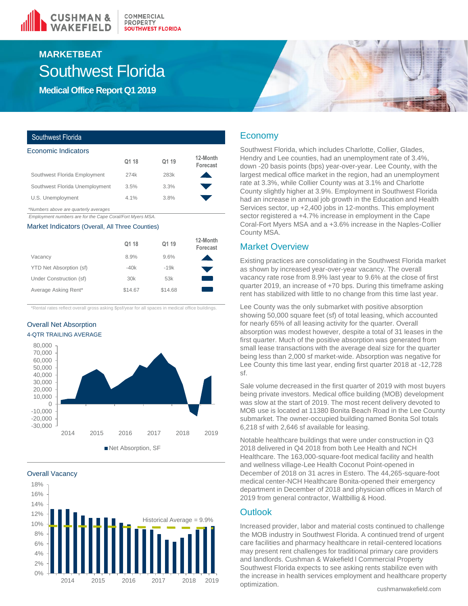

# Southwest Florida **MARKETBEAT**

**Medical Office Report Q1 2019**

### Southwest Florida

| Economic Indicators                   |       |       |                      |
|---------------------------------------|-------|-------|----------------------|
|                                       | Q1 18 | Q1 19 | 12-Month<br>Forecast |
| Southwest Florida Employment          | 274k  | 283k  |                      |
| Southwest Florida Unemployment        | 3.5%  | 3.3%  |                      |
| U.S. Unemployment                     | 4.1%  | 3.8%  |                      |
| *Numbers above are quarterly averages |       |       |                      |

*\*Numbers above are quarterly averages*

*Employment numbers are for the Cape Coral/Fort Myers MSA.* 

#### Market Indicators (Overall, All Three Counties)

|                         | Q1 18   | Q1 19   | 12-Month<br>Forecast |
|-------------------------|---------|---------|----------------------|
| Vacancy                 | 8.9%    | 9.6%    |                      |
| YTD Net Absorption (sf) | $-40k$  | $-19k$  |                      |
| Under Construction (sf) | 30k     | 53k     |                      |
| Average Asking Rent*    | \$14.67 | \$14.68 |                      |

\*Rental rates reflect overall gross asking \$psf/year for all spaces in medical office buildings.

## Overall Net Absorption 4-QTR TRAILING AVERAGE







## Economy

Southwest Florida, which includes Charlotte, Collier, Glades, Hendry and Lee counties, had an unemployment rate of 3.4%, down -20 basis points (bps) year-over-year. Lee County, with the largest medical office market in the region, had an unemployment rate at 3.3%, while Collier County was at 3.1% and Charlotte County slightly higher at 3.9%. Employment in Southwest Florida had an increase in annual job growth in the Education and Health Services sector, up +2,400 jobs in 12-months. This employment sector registered a +4.7% increase in employment in the Cape Coral-Fort Myers MSA and a +3.6% increase in the Naples-Collier County MSA.

## Market Overview

Existing practices are consolidating in the Southwest Florida market as shown by increased year-over-year vacancy. The overall vacancy rate rose from 8.9% last year to 9.6% at the close of first quarter 2019, an increase of +70 bps. During this timeframe asking rent has stabilized with little to no change from this time last year.

Lee County was the only submarket with positive absorption showing 50,000 square feet (sf) of total leasing, which accounted for nearly 65% of all leasing activity for the quarter. Overall absorption was modest however, despite a total of 31 leases in the first quarter. Much of the positive absorption was generated from small lease transactions with the average deal size for the quarter being less than 2,000 sf market-wide. Absorption was negative for Lee County this time last year, ending first quarter 2018 at -12,728 sf.

Sale volume decreased in the first quarter of 2019 with most buyers being private investors. Medical office building (MOB) development was slow at the start of 2019. The most recent delivery devoted to MOB use is located at 11380 Bonita Beach Road in the Lee County submarket. The owner-occupied building named Bonita Sol totals 6,218 sf with 2,646 sf available for leasing.

Notable healthcare buildings that were under construction in Q3 2018 delivered in Q4 2018 from both Lee Health and NCH Healthcare. The 163,000-square-foot medical facility and health and wellness village-Lee Health Coconut Point-opened in December of 2018 on 31 acres in Estero. The 44,265-square-foot medical center-NCH Healthcare Bonita-opened their emergency department in December of 2018 and physician offices in March of 2019 from general contractor, Waltbillig & Hood.

# **Outlook**

Increased provider, labor and material costs continued to challenge the MOB industry in Southwest Florida. A continued trend of urgent care facilities and pharmacy healthcare in retail-centered locations may present rent challenges for traditional primary care providers and landlords. Cushman & Wakefield l Commercial Property Southwest Florida expects to see asking rents stabilize even with the increase in health services employment and healthcare property optimization.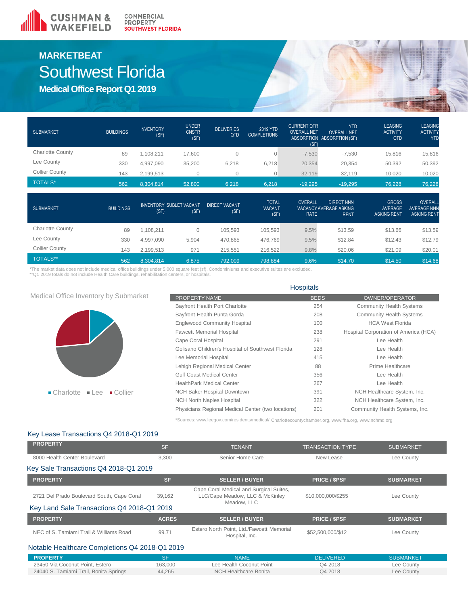

# **MARKETBEAT** Southwest Florida

**Medical Office Report Q1 2019**

| <b>SUBMARKET</b>        | <b>BUILDINGS</b> | <b>INVENTORY</b><br>(SF) | <b>UNDER</b><br><b>CNSTR</b><br>(SF) | <b>DELIVERIES</b><br>QTD | 2019 YTD<br><b>COMPLETIONS</b> | <b>CURRENT QTR</b><br><b>OVERALL NET</b><br>(SF) | <b>YTD</b><br><b>OVERALL NET</b><br>ABSORPTION ABSORPTION (SF) | <b>LEASING</b><br><b>ACTIVITY</b><br><b>QTD</b> | <b>LEASING</b><br><b>ACTIVITY</b><br><b>YTD</b> |
|-------------------------|------------------|--------------------------|--------------------------------------|--------------------------|--------------------------------|--------------------------------------------------|----------------------------------------------------------------|-------------------------------------------------|-------------------------------------------------|
| <b>Charlotte County</b> | 89               | .108.211                 | 17.600                               |                          |                                | $-7,530$                                         | $-7,530$                                                       | 15.816                                          | 15,816                                          |
| Lee County              | 330              | 4,997,090                | 35,200                               | 6,218                    | 6,218                          | 20,354                                           | 20,354                                                         | 50,392                                          | 50,392                                          |
| <b>Collier County</b>   | 143              | 2,199,513                |                                      |                          |                                | $-32,119$                                        | $-32,119$                                                      | 10,020                                          | 10,020                                          |
| <b>TOTALS*</b>          | 562              | 8.304.814                | 52.800                               | 6.218                    | 6.218                          | $-19.295$                                        | $-19,295$                                                      | 76.228                                          | 76,228                                          |

| <b>SUBMARKET</b>        | <b>BUILDINGS</b> | <b>INVENTORY SUBLET VACANT</b><br>(SF) | (SF)  | <b>DIRECT VACANT.</b><br>(SF) | <b>TOTAL</b><br><b>VACANT</b><br>(SF) | <b>OVERALL</b><br><b>RATE</b> | <b>DIRECT NNN</b><br>VACANCY AVERAGE ASKING<br><b>RENT</b> | <b>GROSS</b><br>AVERAGE<br><b>ASKING RENT</b> | OVERALL<br><b>AVERAGE NNN</b><br><b>ASKING RENT</b> |
|-------------------------|------------------|----------------------------------------|-------|-------------------------------|---------------------------------------|-------------------------------|------------------------------------------------------------|-----------------------------------------------|-----------------------------------------------------|
| <b>Charlotte County</b> | 89               | .108.211                               | 0     | 105,593                       | 105,593                               | 9.5%                          | \$13.59                                                    | \$13.66                                       | \$13.59                                             |
| Lee County              | 330              | 4.997.090                              | 5.904 | 470.865                       | 476,769                               | 9.5%                          | \$12.84                                                    | \$12.43                                       | \$12.79                                             |
| <b>Collier County</b>   | 143              | 2.199.513                              | 971   | 215.551                       | 216,522                               | 9.8%                          | \$20.06                                                    | \$21.09                                       | \$20.01                                             |
| <b>TOTALS**</b>         | 562              | 8,304,814                              | 6,875 | 792,009                       | 798,884                               | 9.6%                          | \$14.70                                                    | \$14.50                                       | \$14.68                                             |

\*The market data does not include medical office buildings under 5,000 square feet (sf). Condominiums and executive suites are excluded.<br>\*\*Q1 2019 totals do not include Health Care buildings, rehabilitation centers, or hos

|                                                           | <b>HUSPILAIS</b>                                   |             |                                       |  |  |
|-----------------------------------------------------------|----------------------------------------------------|-------------|---------------------------------------|--|--|
| Medical Office Inventory by Submarket                     | PROPERTY NAME                                      | <b>BEDS</b> | <b>OWNER/OPERATOR</b>                 |  |  |
|                                                           | Bayfront Health Port Charlotte                     | 254         | <b>Community Health Systems</b>       |  |  |
|                                                           | Bayfront Health Punta Gorda                        | 208         | <b>Community Health Systems</b>       |  |  |
|                                                           | <b>Englewood Community Hospital</b>                | 100         | <b>HCA West Florida</b>               |  |  |
|                                                           | <b>Fawcett Memorial Hospital</b>                   | 238         | Hospital Corporation of America (HCA) |  |  |
|                                                           | Cape Coral Hospital                                | 291         | Lee Health                            |  |  |
|                                                           | Golisano Children's Hospital of Southwest Florida  | 128         | Lee Health                            |  |  |
|                                                           | Lee Memorial Hospital                              | 415         | Lee Health                            |  |  |
|                                                           | Lehigh Regional Medical Center                     | 88          | Prime Healthcare                      |  |  |
|                                                           | <b>Gulf Coast Medical Center</b>                   | 356         | Lee Health                            |  |  |
|                                                           | <b>HealthPark Medical Center</b>                   | 267         | Lee Health                            |  |  |
| $\blacksquare$ Collier<br>$\blacksquare$ Charlotte<br>Lee | <b>NCH Baker Hospital Downtown</b>                 | 391         | NCH Healthcare System, Inc.           |  |  |
|                                                           | <b>NCH North Naples Hospital</b>                   | 322         | NCH Healthcare System, Inc.           |  |  |
|                                                           | Physicians Regional Medical Center (two locations) | 201         | Community Health Systems, Inc.        |  |  |

\*Sources: www.leegov.com/residents/medical/,Charlottecountychamber.org, www.fha.org, www.nchmd.org

Hospitals

### Key Lease Transactions Q4 2018-Q1 2019

| <b>PROPERTY</b>                                | <b>SF</b>    | <b>TENANT</b>                                                                             | <b>TRANSACTION TYPE</b> | <b>SUBMARKET</b> |  |  |  |
|------------------------------------------------|--------------|-------------------------------------------------------------------------------------------|-------------------------|------------------|--|--|--|
| 8000 Health Center Boulevard                   | 3.300        | Senior Home Care                                                                          | New Lease               | Lee County       |  |  |  |
| Key Sale Transactions Q4 2018-Q1 2019          |              |                                                                                           |                         |                  |  |  |  |
| <b>PROPERTY</b>                                | <b>SF</b>    | <b>SELLER / BUYER</b>                                                                     | <b>PRICE / \$PSF</b>    | <b>SUBMARKET</b> |  |  |  |
| 2721 Del Prado Boulevard South, Cape Coral     | 39,162       | Cape Coral Medical and Surgical Suites,<br>LLC/Cape Meadow, LLC & McKinley<br>Meadow. LLC | \$10,000,000/\$255      | Lee County       |  |  |  |
| Key Land Sale Transactions Q4 2018-Q1 2019     |              |                                                                                           |                         |                  |  |  |  |
| <b>PROPERTY</b>                                | <b>ACRES</b> | <b>SELLER / BUYER</b>                                                                     | <b>PRICE / \$PSF</b>    | <b>SUBMARKET</b> |  |  |  |
| NEC of S. Tamiami Trail & Williams Road        | 99.71        | Estero North Point, Ltd./Fawcett Memorial<br>Hospital, Inc.                               | \$52,500,000/\$12       | Lee County       |  |  |  |
| Notable Healthcare Completions Q4 2018-Q1 2019 |              |                                                                                           |                         |                  |  |  |  |
| <b>PROPERTY</b>                                | <b>SF</b>    | <b>NAME</b>                                                                               | <b>DELIVERED</b>        | <b>SUBMARKET</b> |  |  |  |
| 23450 Via Coconut Point, Estero                | 163,000      | Lee Health Coconut Point                                                                  | Q4 2018                 | Lee County       |  |  |  |

24040 S. Tamiami Trail, Bonita Springs 44,265 NCH Healthcare Bonita Q4 2018 Lee County